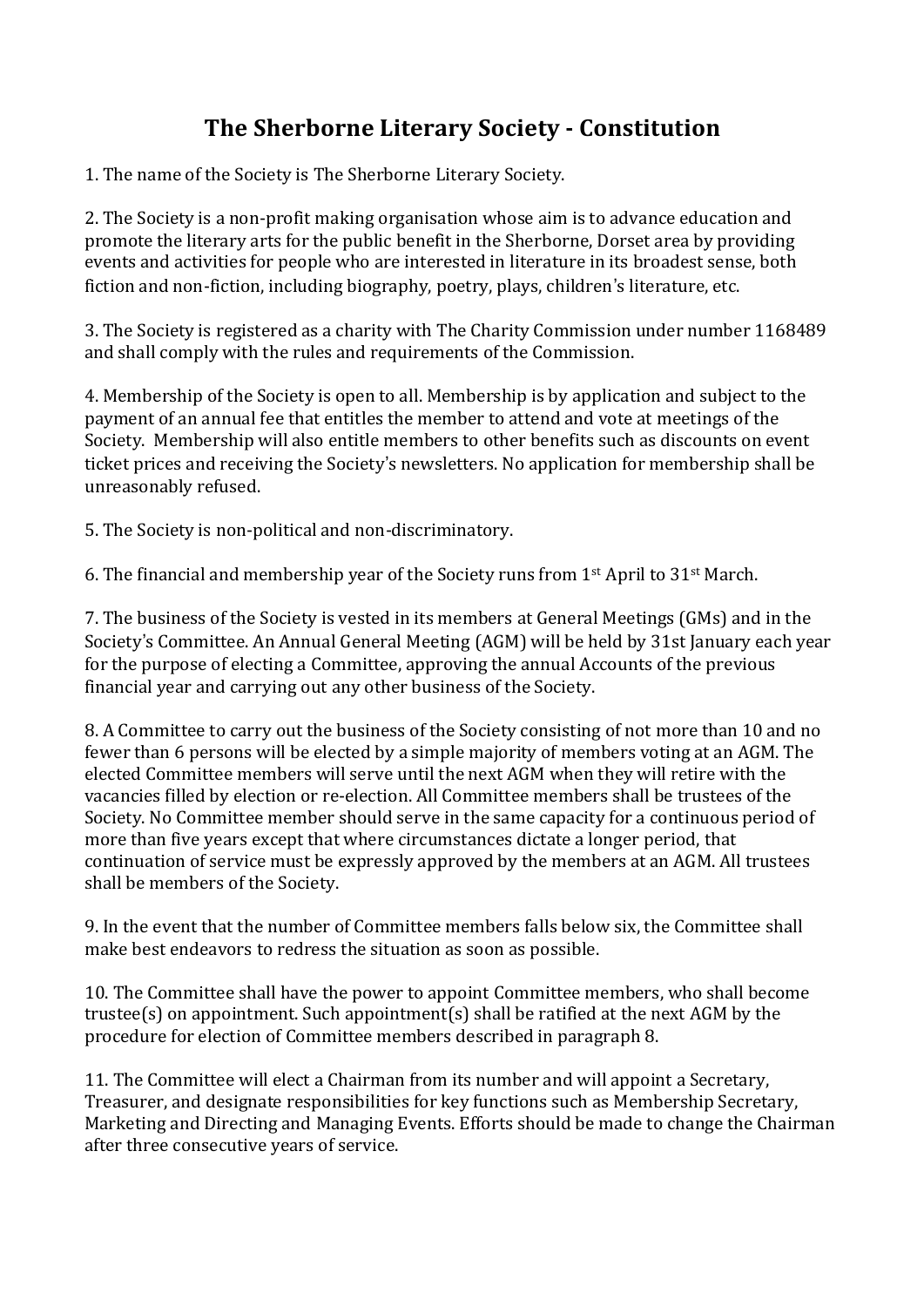## **The Sherborne Literary Society - Constitution**

1. The name of the Society is The Sherborne Literary Society.

2. The Society is a non-profit making organisation whose aim is to advance education and promote the literary arts for the public benefit in the Sherborne, Dorset area by providing events and activities for people who are interested in literature in its broadest sense, both fiction and non-fiction, including biography, poetry, plays, children's literature, etc.

3. The Society is registered as a charity with The Charity Commission under number 1168489 and shall comply with the rules and requirements of the Commission.

4. Membership of the Society is open to all. Membership is by application and subject to the payment of an annual fee that entitles the member to attend and vote at meetings of the Society. Membership will also entitle members to other benefits such as discounts on event ticket prices and receiving the Society's newsletters. No application for membership shall be unreasonably refused.

5. The Society is non-political and non-discriminatory.

6. The financial and membership year of the Society runs from  $1<sup>st</sup>$  April to 31 $<sup>st</sup>$  March.</sup>

7. The business of the Society is vested in its members at General Meetings (GMs) and in the Society's Committee. An Annual General Meeting (AGM) will be held by 31st January each year for the purpose of electing a Committee, approving the annual Accounts of the previous financial year and carrying out any other business of the Society.

8. A Committee to carry out the business of the Society consisting of not more than 10 and no fewer than 6 persons will be elected by a simple majority of members voting at an AGM. The elected Committee members will serve until the next AGM when they will retire with the vacancies filled by election or re-election. All Committee members shall be trustees of the Society. No Committee member should serve in the same capacity for a continuous period of more than five years except that where circumstances dictate a longer period, that continuation of service must be expressly approved by the members at an AGM. All trustees shall be members of the Society.

9. In the event that the number of Committee members falls below six, the Committee shall make best endeavors to redress the situation as soon as possible.

10. The Committee shall have the power to appoint Committee members, who shall become trustee(s) on appointment. Such appointment(s) shall be ratified at the next AGM by the procedure for election of Committee members described in paragraph 8.

11. The Committee will elect a Chairman from its number and will appoint a Secretary, Treasurer, and designate responsibilities for key functions such as Membership Secretary, Marketing and Directing and Managing Events. Efforts should be made to change the Chairman after three consecutive years of service.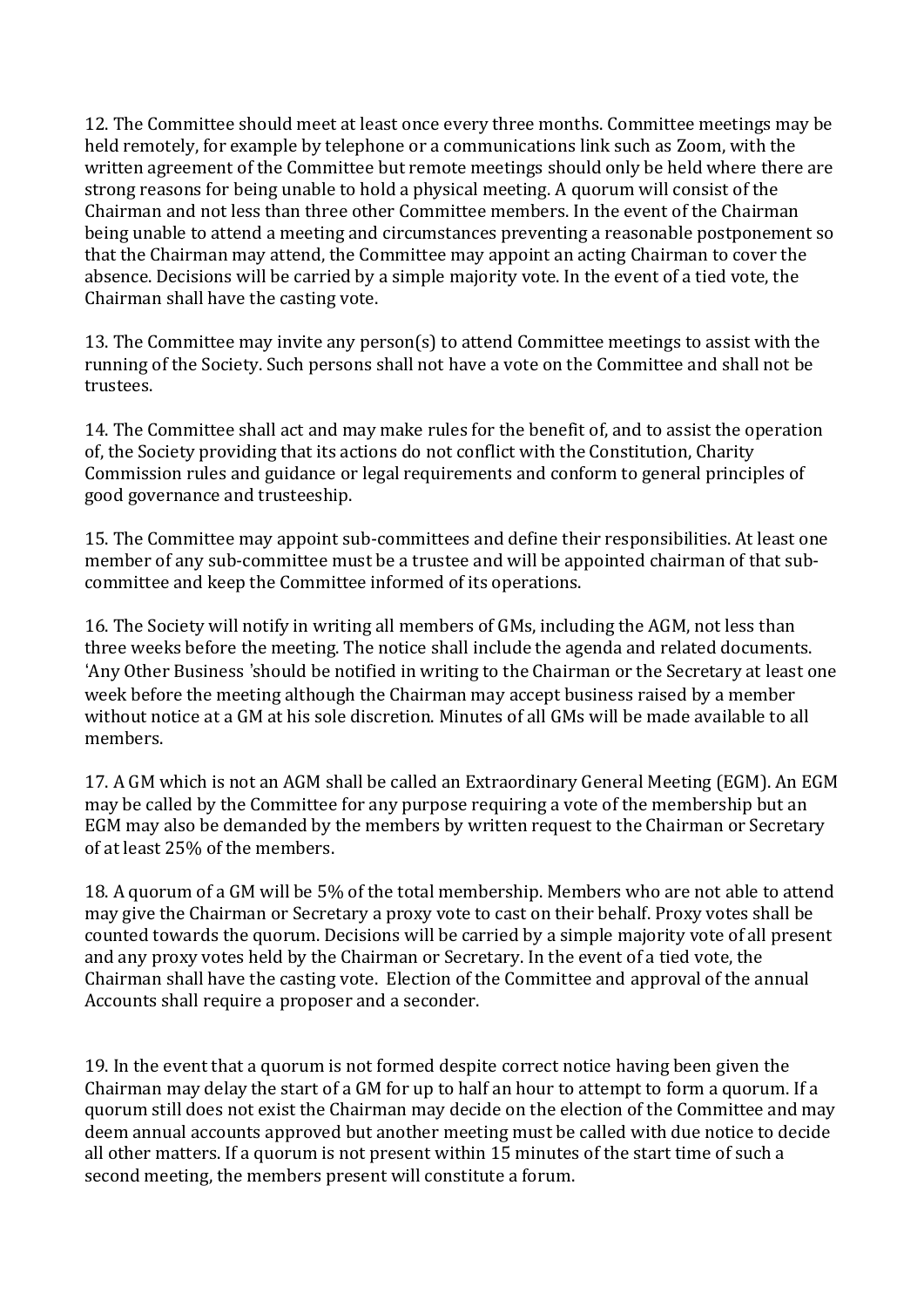12. The Committee should meet at least once every three months. Committee meetings may be held remotely, for example by telephone or a communications link such as Zoom, with the written agreement of the Committee but remote meetings should only be held where there are strong reasons for being unable to hold a physical meeting. A quorum will consist of the Chairman and not less than three other Committee members. In the event of the Chairman being unable to attend a meeting and circumstances preventing a reasonable postponement so that the Chairman may attend, the Committee may appoint an acting Chairman to cover the absence. Decisions will be carried by a simple majority vote. In the event of a tied vote, the Chairman shall have the casting vote.

13. The Committee may invite any person(s) to attend Committee meetings to assist with the running of the Society. Such persons shall not have a vote on the Committee and shall not be trustees.

14. The Committee shall act and may make rules for the benefit of, and to assist the operation of, the Society providing that its actions do not conflict with the Constitution, Charity Commission rules and guidance or legal requirements and conform to general principles of good governance and trusteeship.

15. The Committee may appoint sub-committees and define their responsibilities. At least one member of any sub-committee must be a trustee and will be appointed chairman of that subcommittee and keep the Committee informed of its operations.

16. The Society will notify in writing all members of GMs, including the AGM, not less than three weeks before the meeting. The notice shall include the agenda and related documents. 'Any Other Business 'should be notified in writing to the Chairman or the Secretary at least one week before the meeting although the Chairman may accept business raised by a member without notice at a GM at his sole discretion. Minutes of all GMs will be made available to all members.

17. A GM which is not an AGM shall be called an Extraordinary General Meeting (EGM). An EGM may be called by the Committee for any purpose requiring a vote of the membership but an EGM may also be demanded by the members by written request to the Chairman or Secretary of at least 25% of the members.

18. A quorum of a GM will be 5% of the total membership. Members who are not able to attend may give the Chairman or Secretary a proxy vote to cast on their behalf. Proxy votes shall be counted towards the quorum. Decisions will be carried by a simple majority vote of all present and any proxy votes held by the Chairman or Secretary. In the event of a tied vote, the Chairman shall have the casting vote. Election of the Committee and approval of the annual Accounts shall require a proposer and a seconder.

19. In the event that a quorum is not formed despite correct notice having been given the Chairman may delay the start of a GM for up to half an hour to attempt to form a quorum. If a quorum still does not exist the Chairman may decide on the election of the Committee and may deem annual accounts approved but another meeting must be called with due notice to decide all other matters. If a quorum is not present within 15 minutes of the start time of such a second meeting, the members present will constitute a forum.